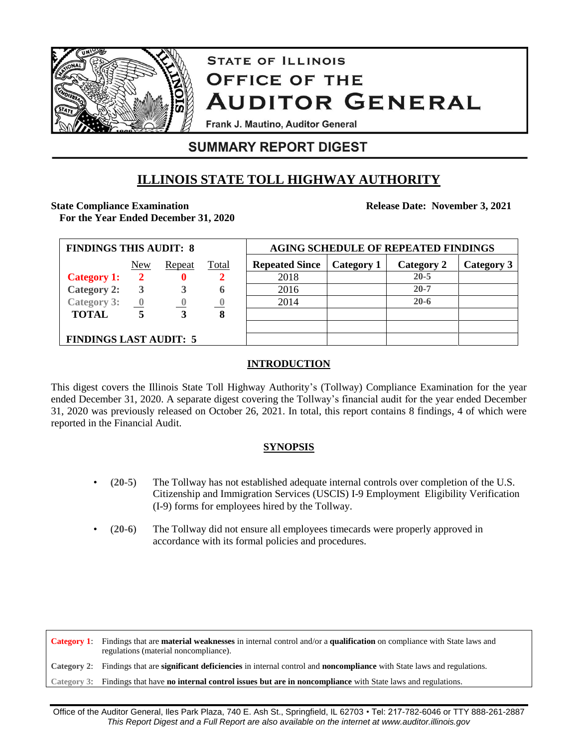

# **STATE OF ILLINOIS OFFICE OF THE AUDITOR GENERAL**

Frank J. Mautino, Auditor General

### **SUMMARY REPORT DIGEST**

## **ILLINOIS STATE TOLL HIGHWAY AUTHORITY**

### **State Compliance Examination**

**For the Year Ended December 31, 2020**

**Release Date: November 3, 2021**

| <b>FINDINGS THIS AUDIT: 8</b> |                         |        |              | <b>AGING SCHEDULE OF REPEATED FINDINGS</b> |            |            |            |
|-------------------------------|-------------------------|--------|--------------|--------------------------------------------|------------|------------|------------|
|                               | New                     | Repeat | <b>Total</b> | <b>Repeated Since</b>                      | Category 1 | Category 2 | Category 3 |
| <b>Category 1:</b>            | 2                       |        |              | 2018                                       |            | $20 - 5$   |            |
| <b>Category 2:</b>            | 3                       |        | h            | 2016                                       |            | $20 - 7$   |            |
| <b>Category 3:</b>            | $\overline{\mathbf{0}}$ |        |              | 2014                                       |            | $20 - 6$   |            |
| <b>TOTAL</b>                  |                         |        | 8            |                                            |            |            |            |
|                               |                         |        |              |                                            |            |            |            |
| <b>FINDINGS LAST AUDIT: 5</b> |                         |        |              |                                            |            |            |            |

### **INTRODUCTION**

This digest covers the Illinois State Toll Highway Authority's (Tollway) Compliance Examination for the year ended December 31, 2020. A separate digest covering the Tollway's financial audit for the year ended December 31, 2020 was previously released on October 26, 2021. In total, this report contains 8 findings, 4 of which were reported in the Financial Audit.

### **SYNOPSIS**

- **(20-5**) The Tollway has not established adequate internal controls over completion of the U.S. Citizenship and Immigration Services (USCIS) I-9 Employment Eligibility Verification (I-9) forms for employees hired by the Tollway.
- (**20-6**) The Tollway did not ensure all employees timecards were properly approved in accordance with its formal policies and procedures.

**Category 1**: Findings that are **material weaknesses** in internal control and/or a **qualification** on compliance with State laws and regulations (material noncompliance).

**Category 2**: Findings that are **significant deficiencies** in internal control and **noncompliance** with State laws and regulations.

**Category 3**: Findings that have **no internal control issues but are in noncompliance** with State laws and regulations.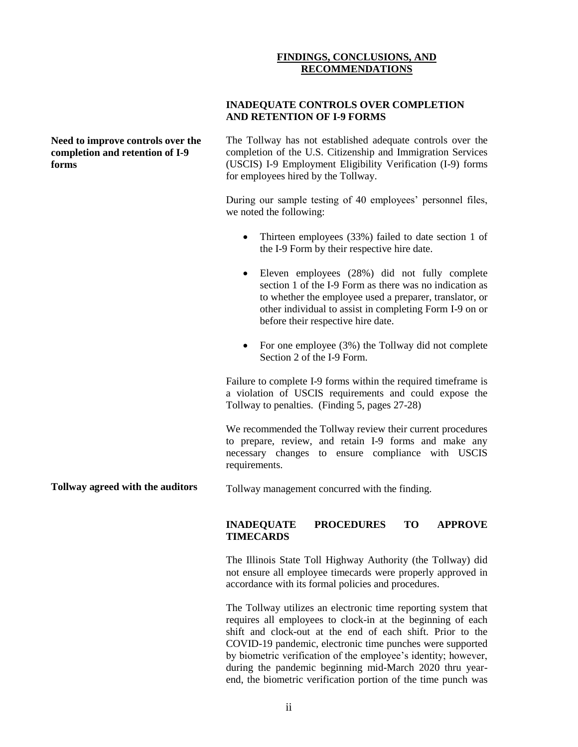#### **FINDINGS, CONCLUSIONS, AND RECOMMENDATIONS**

**Need to improve controls over the completion and retention of I-9 forms**

**INADEQUATE CONTROLS OVER COMPLETION AND RETENTION OF I-9 FORMS**

The Tollway has not established adequate controls over the completion of the U.S. Citizenship and Immigration Services (USCIS) I-9 Employment Eligibility Verification (I-9) forms for employees hired by the Tollway.

During our sample testing of 40 employees' personnel files, we noted the following:

- Thirteen employees (33%) failed to date section 1 of the I-9 Form by their respective hire date.
- Eleven employees (28%) did not fully complete section 1 of the I-9 Form as there was no indication as to whether the employee used a preparer, translator, or other individual to assist in completing Form I-9 on or before their respective hire date.
- For one employee  $(3%)$  the Tollway did not complete Section 2 of the I-9 Form.

Failure to complete I-9 forms within the required timeframe is a violation of USCIS requirements and could expose the Tollway to penalties. (Finding 5, pages 27-28)

We recommended the Tollway review their current procedures to prepare, review, and retain I-9 forms and make any necessary changes to ensure compliance with USCIS requirements.

**Tollway agreed with the auditors** Tollway management concurred with the finding.

#### **INADEQUATE PROCEDURES TO APPROVE TIMECARDS**

The Illinois State Toll Highway Authority (the Tollway) did not ensure all employee timecards were properly approved in accordance with its formal policies and procedures.

The Tollway utilizes an electronic time reporting system that requires all employees to clock-in at the beginning of each shift and clock-out at the end of each shift. Prior to the COVID-19 pandemic, electronic time punches were supported by biometric verification of the employee's identity; however, during the pandemic beginning mid-March 2020 thru yearend, the biometric verification portion of the time punch was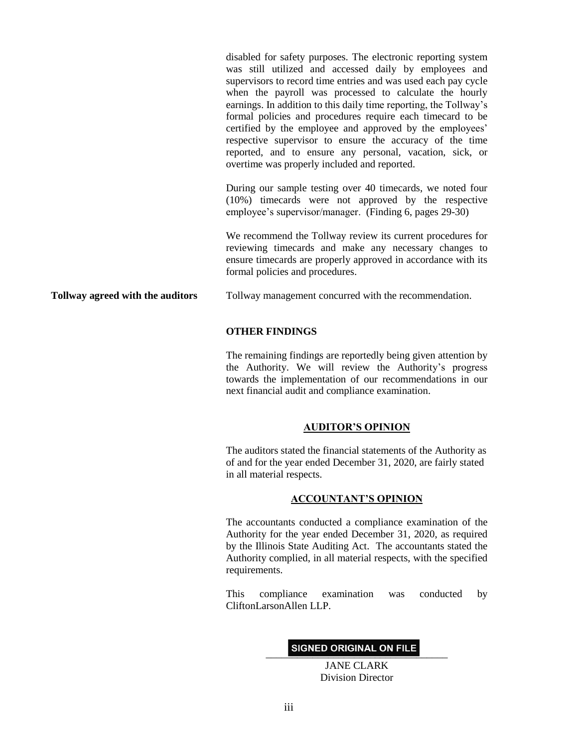disabled for safety purposes. The electronic reporting system was still utilized and accessed daily by employees and supervisors to record time entries and was used each pay cycle when the payroll was processed to calculate the hourly earnings. In addition to this daily time reporting, the Tollway's formal policies and procedures require each timecard to be certified by the employee and approved by the employees' respective supervisor to ensure the accuracy of the time reported, and to ensure any personal, vacation, sick, or overtime was properly included and reported.

During our sample testing over 40 timecards, we noted four (10%) timecards were not approved by the respective employee's supervisor/manager. (Finding 6, pages 29-30)

We recommend the Tollway review its current procedures for reviewing timecards and make any necessary changes to ensure timecards are properly approved in accordance with its formal policies and procedures.

**Tollway agreed with the auditors**

Tollway management concurred with the recommendation.

#### **OTHER FINDINGS**

The remaining findings are reportedly being given attention by the Authority. We will review the Authority's progress towards the implementation of our recommendations in our next financial audit and compliance examination.

#### **AUDITOR'S OPINION**

The auditors stated the financial statements of the Authority as of and for the year ended December 31, 2020, are fairly stated in all material respects.

#### **ACCOUNTANT'S OPINION**

The accountants conducted a compliance examination of the Authority for the year ended December 31, 2020, as required by the Illinois State Auditing Act. The accountants stated the Authority complied, in all material respects, with the specified requirements.

This compliance examination was conducted by CliftonLarsonAllen LLP.

#### SIGNED ORIGINAL ON FILE

JANE CLARK Division Director